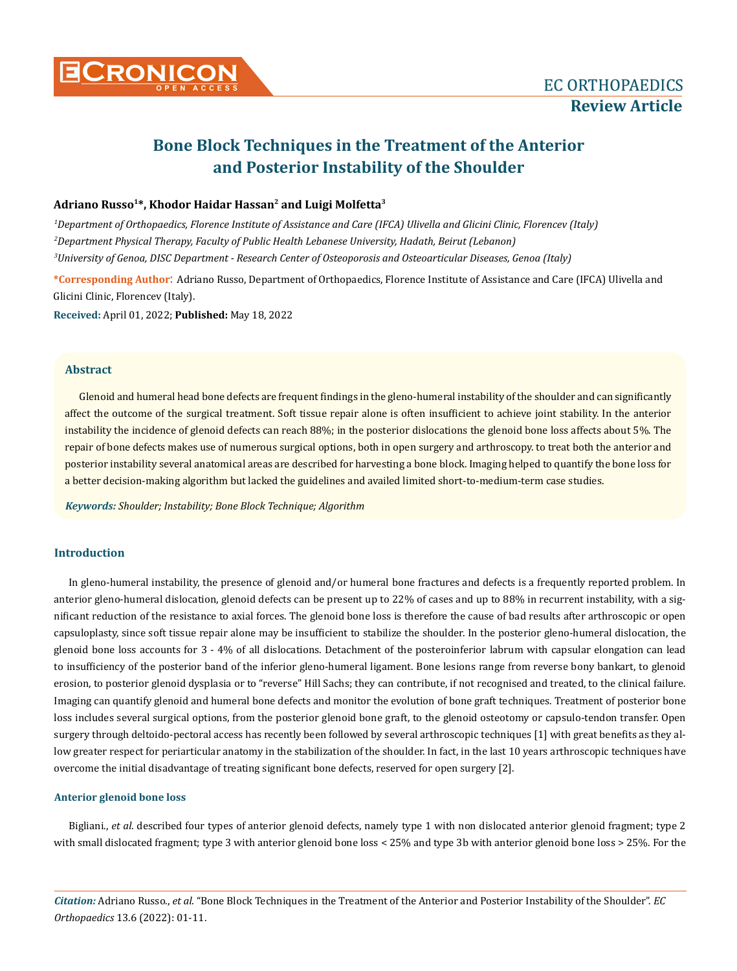

# **Bone Block Techniques in the Treatment of the Anterior and Posterior Instability of the Shoulder**

# **Adriano Russo1\*, Khodor Haidar Hassan2 and Luigi Molfetta3**

*1 Department of Orthopaedics, Florence Institute of Assistance and Care (IFCA) Ulivella and Glicini Clinic, Florencev (Italy) 2 Department Physical Therapy, Faculty of Public Health Lebanese University, Hadath, Beirut (Lebanon) 3 University of Genoa, DISC Department - Research Center of Osteoporosis and Osteoarticular Diseases, Genoa (Italy)*

**\*Corresponding Author**: Adriano Russo, Department of Orthopaedics, Florence Institute of Assistance and Care (IFCA) Ulivella and Glicini Clinic, Florencev (Italy).

**Received:** April 01, 2022; **Published:** May 18, 2022

# **Abstract**

Glenoid and humeral head bone defects are frequent findings in the gleno-humeral instability of the shoulder and can significantly affect the outcome of the surgical treatment. Soft tissue repair alone is often insufficient to achieve joint stability. In the anterior instability the incidence of glenoid defects can reach 88%; in the posterior dislocations the glenoid bone loss affects about 5%. The repair of bone defects makes use of numerous surgical options, both in open surgery and arthroscopy. to treat both the anterior and posterior instability several anatomical areas are described for harvesting a bone block. Imaging helped to quantify the bone loss for a better decision-making algorithm but lacked the guidelines and availed limited short-to-medium-term case studies.

*Keywords: Shoulder; Instability; Bone Block Technique; Algorithm*

# **Introduction**

In gleno-humeral instability, the presence of glenoid and/or humeral bone fractures and defects is a frequently reported problem. In anterior gleno-humeral dislocation, glenoid defects can be present up to 22% of cases and up to 88% in recurrent instability, with a significant reduction of the resistance to axial forces. The glenoid bone loss is therefore the cause of bad results after arthroscopic or open capsuloplasty, since soft tissue repair alone may be insufficient to stabilize the shoulder. In the posterior gleno-humeral dislocation, the glenoid bone loss accounts for 3 - 4% of all dislocations. Detachment of the posteroinferior labrum with capsular elongation can lead to insufficiency of the posterior band of the inferior gleno-humeral ligament. Bone lesions range from reverse bony bankart, to glenoid erosion, to posterior glenoid dysplasia or to "reverse" Hill Sachs; they can contribute, if not recognised and treated, to the clinical failure. Imaging can quantify glenoid and humeral bone defects and monitor the evolution of bone graft techniques. Treatment of posterior bone loss includes several surgical options, from the posterior glenoid bone graft, to the glenoid osteotomy or capsulo-tendon transfer. Open surgery through deltoido-pectoral access has recently been followed by several arthroscopic techniques [1] with great benefits as they allow greater respect for periarticular anatomy in the stabilization of the shoulder. In fact, in the last 10 years arthroscopic techniques have overcome the initial disadvantage of treating significant bone defects, reserved for open surgery [2].

### **Anterior glenoid bone loss**

Bigliani., *et al*. described four types of anterior glenoid defects, namely type 1 with non dislocated anterior glenoid fragment; type 2 with small dislocated fragment; type 3 with anterior glenoid bone loss < 25% and type 3b with anterior glenoid bone loss > 25%. For the

*Citation:* Adriano Russo., *et al*. "Bone Block Techniques in the Treatment of the Anterior and Posterior Instability of the Shoulder". *EC Orthopaedics* 13.6 (2022): 01-11.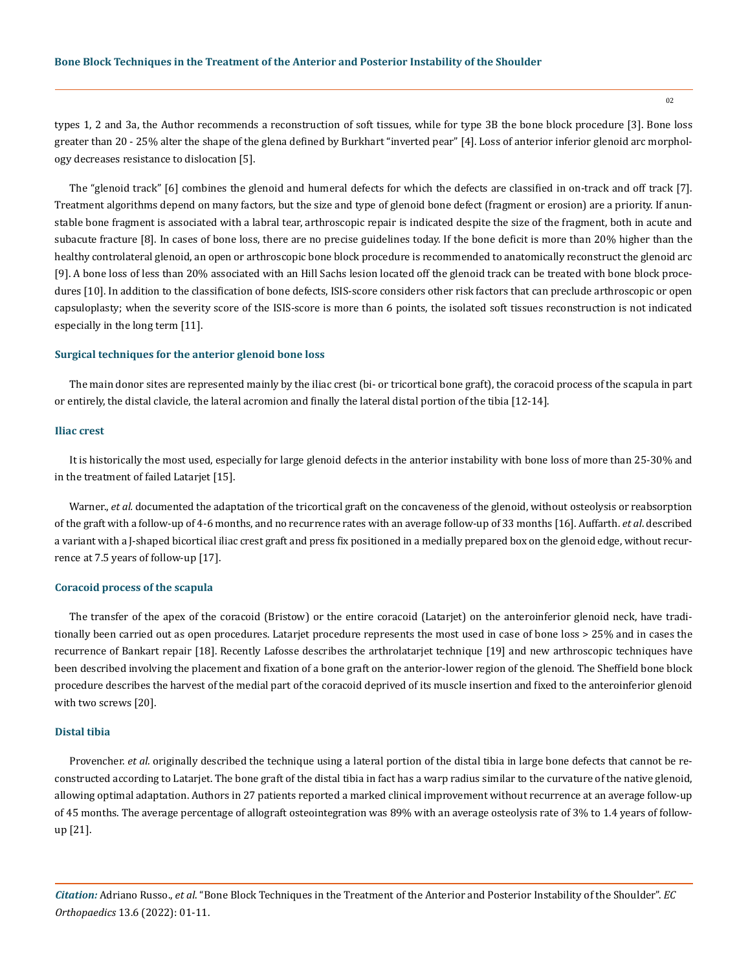types 1, 2 and 3a, the Author recommends a reconstruction of soft tissues, while for type 3B the bone block procedure [3]. Bone loss greater than 20 - 25% alter the shape of the glena defined by Burkhart "inverted pear" [4]. Loss of anterior inferior glenoid arc morphology decreases resistance to dislocation [5].

The "glenoid track" [6] combines the glenoid and humeral defects for which the defects are classified in on-track and off track [7]. Treatment algorithms depend on many factors, but the size and type of glenoid bone defect (fragment or erosion) are a priority. If anunstable bone fragment is associated with a labral tear, arthroscopic repair is indicated despite the size of the fragment, both in acute and subacute fracture [8]. In cases of bone loss, there are no precise guidelines today. If the bone deficit is more than 20% higher than the healthy controlateral glenoid, an open or arthroscopic bone block procedure is recommended to anatomically reconstruct the glenoid arc [9]. A bone loss of less than 20% associated with an Hill Sachs lesion located off the glenoid track can be treated with bone block procedures [10]. In addition to the classification of bone defects, ISIS-score considers other risk factors that can preclude arthroscopic or open capsuloplasty; when the severity score of the ISIS-score is more than 6 points, the isolated soft tissues reconstruction is not indicated especially in the long term [11].

#### **Surgical techniques for the anterior glenoid bone loss**

The main donor sites are represented mainly by the iliac crest (bi- or tricortical bone graft), the coracoid process of the scapula in part or entirely, the distal clavicle, the lateral acromion and finally the lateral distal portion of the tibia [12-14].

## **Iliac crest**

It is historically the most used, especially for large glenoid defects in the anterior instability with bone loss of more than 25-30% and in the treatment of failed Latarjet [15].

Warner., *et al.* documented the adaptation of the tricortical graft on the concaveness of the glenoid, without osteolysis or reabsorption of the graft with a follow-up of 4-6 months, and no recurrence rates with an average follow-up of 33 months [16]. Auffarth. *et al*. described a variant with a J-shaped bicortical iliac crest graft and press fix positioned in a medially prepared box on the glenoid edge, without recurrence at 7.5 years of follow-up [17].

## **Coracoid process of the scapula**

The transfer of the apex of the coracoid (Bristow) or the entire coracoid (Latarjet) on the anteroinferior glenoid neck, have traditionally been carried out as open procedures. Latarjet procedure represents the most used in case of bone loss > 25% and in cases the recurrence of Bankart repair [18]. Recently Lafosse describes the arthrolatarjet technique [19] and new arthroscopic techniques have been described involving the placement and fixation of a bone graft on the anterior-lower region of the glenoid. The Sheffield bone block procedure describes the harvest of the medial part of the coracoid deprived of its muscle insertion and fixed to the anteroinferior glenoid with two screws [20].

#### **Distal tibia**

Provencher. *et al.* originally described the technique using a lateral portion of the distal tibia in large bone defects that cannot be reconstructed according to Latarjet. The bone graft of the distal tibia in fact has a warp radius similar to the curvature of the native glenoid, allowing optimal adaptation. Authors in 27 patients reported a marked clinical improvement without recurrence at an average follow-up of 45 months. The average percentage of allograft osteointegration was 89% with an average osteolysis rate of 3% to 1.4 years of followup [21].

*Citation:* Adriano Russo., *et al*. "Bone Block Techniques in the Treatment of the Anterior and Posterior Instability of the Shoulder". *EC Orthopaedics* 13.6 (2022): 01-11.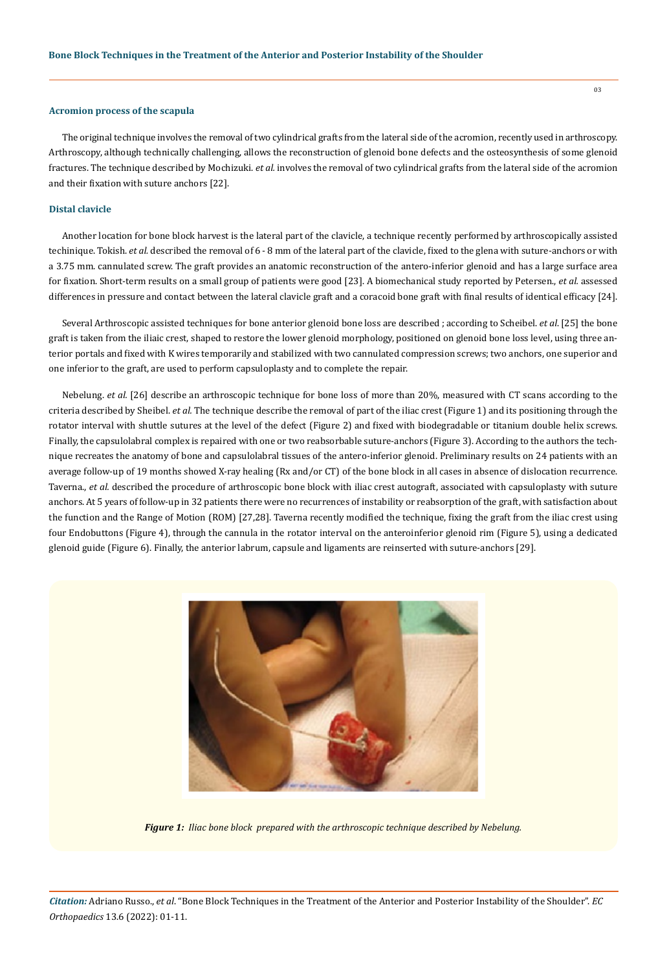#### **Acromion process of the scapula**

The original technique involves the removal of two cylindrical grafts from the lateral side of the acromion, recently used in arthroscopy. Arthroscopy, although technically challenging, allows the reconstruction of glenoid bone defects and the osteosynthesis of some glenoid fractures. The technique described by Mochizuki. *et al.* involves the removal of two cylindrical grafts from the lateral side of the acromion and their fixation with suture anchors [22].

#### **Distal clavicle**

Another location for bone block harvest is the lateral part of the clavicle, a technique recently performed by arthroscopically assisted techinique. Tokish. *et al.* described the removal of 6 - 8 mm of the lateral part of the clavicle, fixed to the glena with suture-anchors or with a 3.75 mm. cannulated screw. The graft provides an anatomic reconstruction of the antero-inferior glenoid and has a large surface area for fixation. Short-term results on a small group of patients were good [23]. A biomechanical study reported by Petersen., *et al.* assessed differences in pressure and contact between the lateral clavicle graft and a coracoid bone graft with final results of identical efficacy [24].

Several Arthroscopic assisted techniques for bone anterior glenoid bone loss are described ; according to Scheibel. *et al*. [25] the bone graft is taken from the iliaic crest, shaped to restore the lower glenoid morphology, positioned on glenoid bone loss level, using three anterior portals and fixed with K wires temporarily and stabilized with two cannulated compression screws; two anchors, one superior and one inferior to the graft, are used to perform capsuloplasty and to complete the repair.

Nebelung. *et al.* [26] describe an arthroscopic technique for bone loss of more than 20%, measured with CT scans according to the criteria described by Sheibel. *et al.* The technique describe the removal of part of the iliac crest (Figure 1) and its positioning through the rotator interval with shuttle sutures at the level of the defect (Figure 2) and fixed with biodegradable or titanium double helix screws. Finally, the capsulolabral complex is repaired with one or two reabsorbable suture-anchors (Figure 3). According to the authors the technique recreates the anatomy of bone and capsulolabral tissues of the antero-inferior glenoid. Preliminary results on 24 patients with an average follow-up of 19 months showed X-ray healing (Rx and/or CT) of the bone block in all cases in absence of dislocation recurrence. Taverna., *et al.* described the procedure of arthroscopic bone block with iliac crest autograft, associated with capsuloplasty with suture anchors. At 5 years of follow-up in 32 patients there were no recurrences of instability or reabsorption of the graft, with satisfaction about the function and the Range of Motion (ROM) [27,28]. Taverna recently modified the technique, fixing the graft from the iliac crest using four Endobuttons (Figure 4), through the cannula in the rotator interval on the anteroinferior glenoid rim (Figure 5), using a dedicated glenoid guide (Figure 6). Finally, the anterior labrum, capsule and ligaments are reinserted with suture-anchors [29].



*Figure 1: Iliac bone block prepared with the arthroscopic technique described by Nebelung.*

*Citation:* Adriano Russo., *et al*. "Bone Block Techniques in the Treatment of the Anterior and Posterior Instability of the Shoulder". *EC Orthopaedics* 13.6 (2022): 01-11.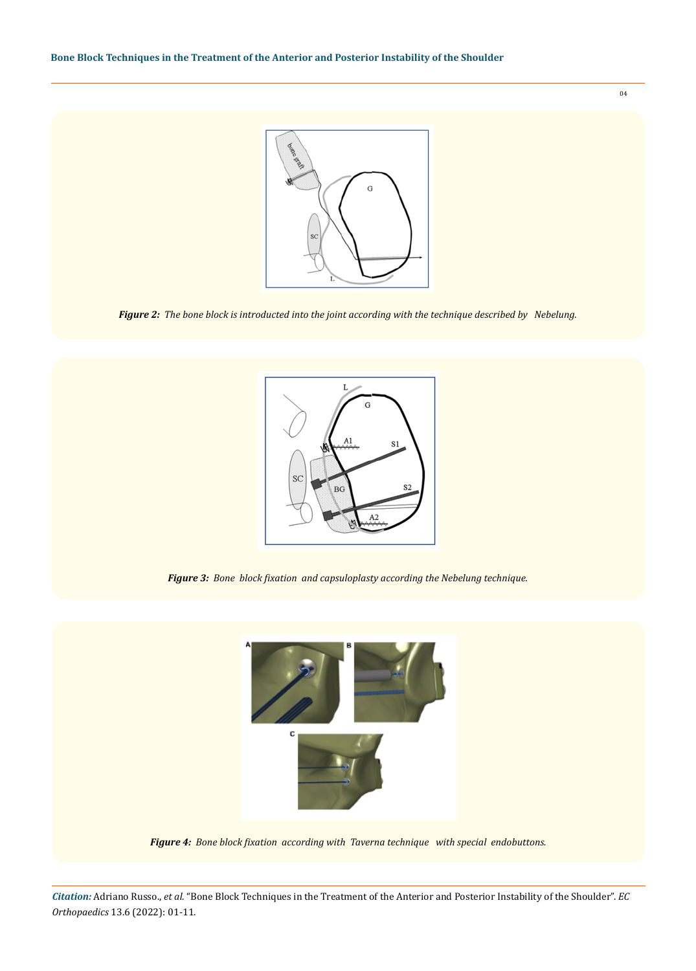

*Figure 2: The bone block is introducted into the joint according with the technique described by Nebelung.*



*Figure 3: Bone block fixation and capsuloplasty according the Nebelung technique.*



*Figure 4: Bone block fixation according with Taverna technique with special endobuttons.* 

*Citation:* Adriano Russo., *et al*. "Bone Block Techniques in the Treatment of the Anterior and Posterior Instability of the Shoulder". *EC Orthopaedics* 13.6 (2022): 01-11.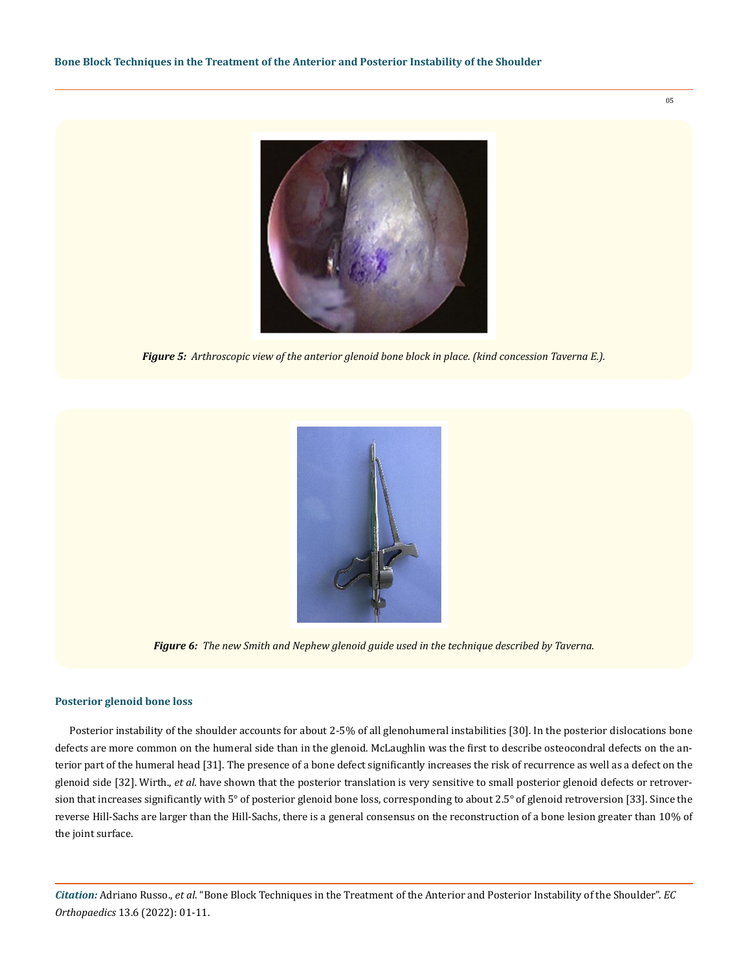

*Figure 5: Arthroscopic view of the anterior glenoid bone block in place. (kind concession Taverna E.).* 



*Figure 6: The new Smith and Nephew glenoid guide used in the technique described by Taverna.*

# **Posterior glenoid bone loss**

Posterior instability of the shoulder accounts for about 2-5% of all glenohumeral instabilities [30]. In the posterior dislocations bone defects are more common on the humeral side than in the glenoid. McLaughlin was the first to describe osteocondral defects on the anterior part of the humeral head [31]. The presence of a bone defect significantly increases the risk of recurrence as well as a defect on the glenoid side [32]. Wirth., *et al.* have shown that the posterior translation is very sensitive to small posterior glenoid defects or retroversion that increases significantly with 5° of posterior glenoid bone loss, corresponding to about 2.5° of glenoid retroversion [33]. Since the reverse Hill-Sachs are larger than the Hill-Sachs, there is a general consensus on the reconstruction of a bone lesion greater than 10% of the joint surface.

*Citation:* Adriano Russo., *et al*. "Bone Block Techniques in the Treatment of the Anterior and Posterior Instability of the Shoulder". *EC Orthopaedics* 13.6 (2022): 01-11.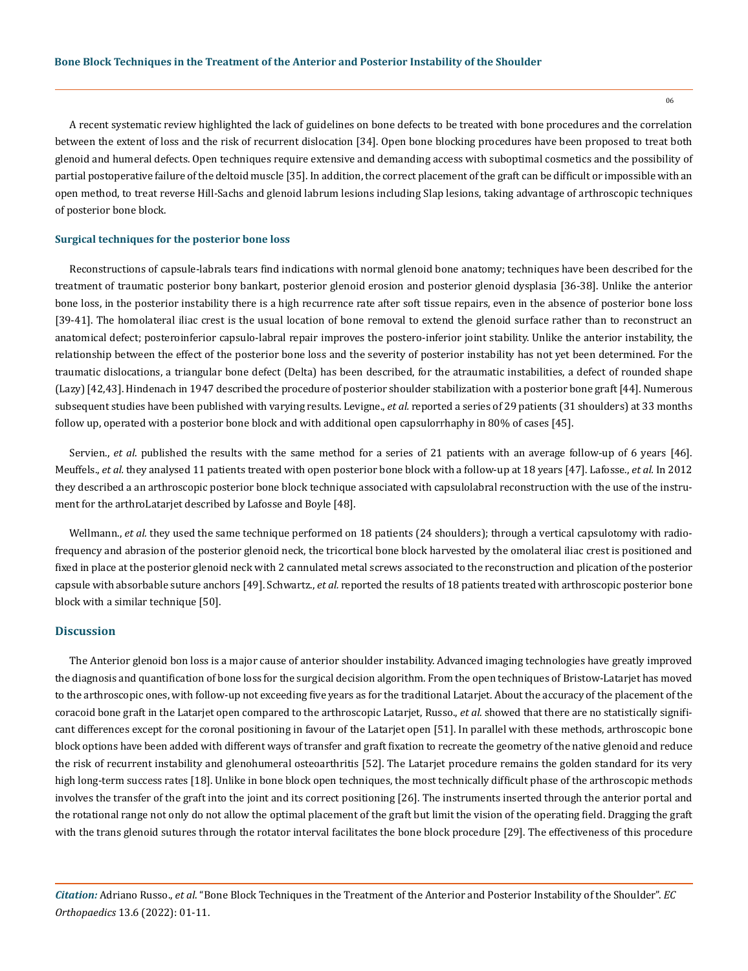A recent systematic review highlighted the lack of guidelines on bone defects to be treated with bone procedures and the correlation between the extent of loss and the risk of recurrent dislocation [34]. Open bone blocking procedures have been proposed to treat both glenoid and humeral defects. Open techniques require extensive and demanding access with suboptimal cosmetics and the possibility of partial postoperative failure of the deltoid muscle [35]. In addition, the correct placement of the graft can be difficult or impossible with an open method, to treat reverse Hill-Sachs and glenoid labrum lesions including Slap lesions, taking advantage of arthroscopic techniques of posterior bone block.

## **Surgical techniques for the posterior bone loss**

Reconstructions of capsule-labrals tears find indications with normal glenoid bone anatomy; techniques have been described for the treatment of traumatic posterior bony bankart, posterior glenoid erosion and posterior glenoid dysplasia [36-38]. Unlike the anterior bone loss, in the posterior instability there is a high recurrence rate after soft tissue repairs, even in the absence of posterior bone loss [39-41]. The homolateral iliac crest is the usual location of bone removal to extend the glenoid surface rather than to reconstruct an anatomical defect; posteroinferior capsulo-labral repair improves the postero-inferior joint stability. Unlike the anterior instability, the relationship between the effect of the posterior bone loss and the severity of posterior instability has not yet been determined. For the traumatic dislocations, a triangular bone defect (Delta) has been described, for the atraumatic instabilities, a defect of rounded shape (Lazy) [42,43]. Hindenach in 1947 described the procedure of posterior shoulder stabilization with a posterior bone graft [44]. Numerous subsequent studies have been published with varying results. Levigne., *et al.* reported a series of 29 patients (31 shoulders) at 33 months follow up, operated with a posterior bone block and with additional open capsulorrhaphy in 80% of cases [45].

Servien., *et al*. published the results with the same method for a series of 21 patients with an average follow-up of 6 years [46]. Meuffels., *et al.* they analysed 11 patients treated with open posterior bone block with a follow-up at 18 years [47]. Lafosse., *et al.* In 2012 they described a an arthroscopic posterior bone block technique associated with capsulolabral reconstruction with the use of the instrument for the arthroLatarjet described by Lafosse and Boyle [48].

Wellmann., *et al.* they used the same technique performed on 18 patients (24 shoulders); through a vertical capsulotomy with radiofrequency and abrasion of the posterior glenoid neck, the tricortical bone block harvested by the omolateral iliac crest is positioned and fixed in place at the posterior glenoid neck with 2 cannulated metal screws associated to the reconstruction and plication of the posterior capsule with absorbable suture anchors [49]. Schwartz., *et al.* reported the results of 18 patients treated with arthroscopic posterior bone block with a similar technique [50].

#### **Discussion**

The Anterior glenoid bon loss is a major cause of anterior shoulder instability. Advanced imaging technologies have greatly improved the diagnosis and quantification of bone loss for the surgical decision algorithm. From the open techniques of Bristow-Latarjet has moved to the arthroscopic ones, with follow-up not exceeding five years as for the traditional Latarjet. About the accuracy of the placement of the coracoid bone graft in the Latarjet open compared to the arthroscopic Latarjet, Russo., *et al.* showed that there are no statistically significant differences except for the coronal positioning in favour of the Latarjet open [51]. In parallel with these methods, arthroscopic bone block options have been added with different ways of transfer and graft fixation to recreate the geometry of the native glenoid and reduce the risk of recurrent instability and glenohumeral osteoarthritis [52]. The Latarjet procedure remains the golden standard for its very high long-term success rates [18]. Unlike in bone block open techniques, the most technically difficult phase of the arthroscopic methods involves the transfer of the graft into the joint and its correct positioning [26]. The instruments inserted through the anterior portal and the rotational range not only do not allow the optimal placement of the graft but limit the vision of the operating field. Dragging the graft with the trans glenoid sutures through the rotator interval facilitates the bone block procedure [29]. The effectiveness of this procedure

*Citation:* Adriano Russo., *et al*. "Bone Block Techniques in the Treatment of the Anterior and Posterior Instability of the Shoulder". *EC Orthopaedics* 13.6 (2022): 01-11.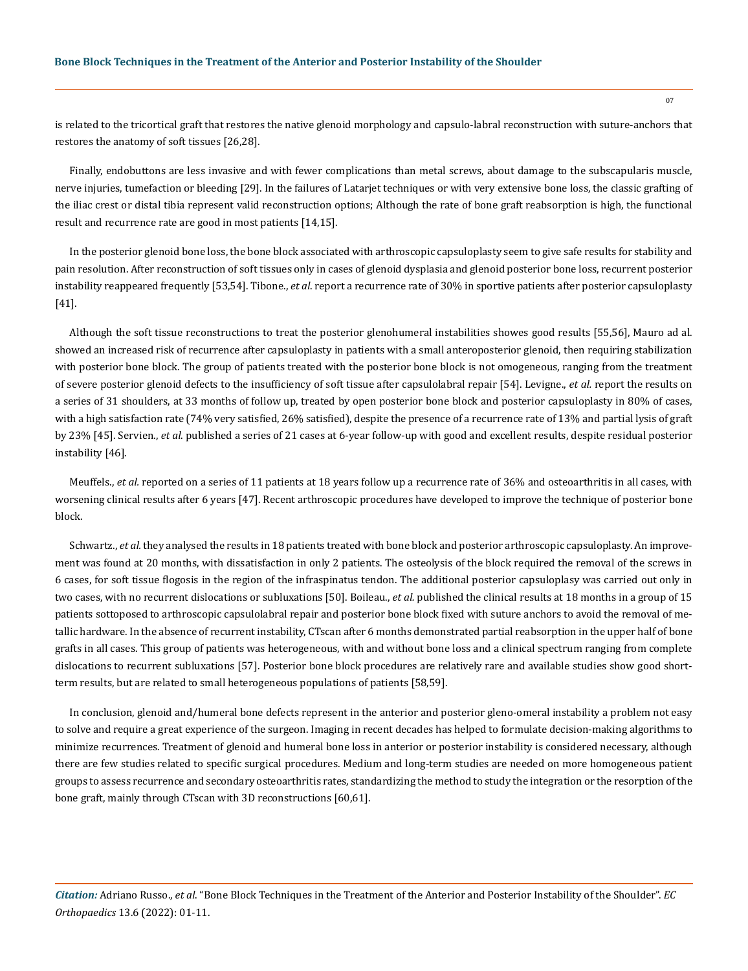is related to the tricortical graft that restores the native glenoid morphology and capsulo-labral reconstruction with suture-anchors that restores the anatomy of soft tissues [26,28].

Finally, endobuttons are less invasive and with fewer complications than metal screws, about damage to the subscapularis muscle, nerve injuries, tumefaction or bleeding [29]. In the failures of Latarjet techniques or with very extensive bone loss, the classic grafting of the iliac crest or distal tibia represent valid reconstruction options; Although the rate of bone graft reabsorption is high, the functional result and recurrence rate are good in most patients [14,15].

In the posterior glenoid bone loss, the bone block associated with arthroscopic capsuloplasty seem to give safe results for stability and pain resolution. After reconstruction of soft tissues only in cases of glenoid dysplasia and glenoid posterior bone loss, recurrent posterior instability reappeared frequently [53,54]. Tibone., *et al*. report a recurrence rate of 30% in sportive patients after posterior capsuloplasty [41].

Although the soft tissue reconstructions to treat the posterior glenohumeral instabilities showes good results [55,56], Mauro ad al. showed an increased risk of recurrence after capsuloplasty in patients with a small anteroposterior glenoid, then requiring stabilization with posterior bone block. The group of patients treated with the posterior bone block is not omogeneous, ranging from the treatment of severe posterior glenoid defects to the insufficiency of soft tissue after capsulolabral repair [54]. Levigne., *et al.* report the results on a series of 31 shoulders, at 33 months of follow up, treated by open posterior bone block and posterior capsuloplasty in 80% of cases, with a high satisfaction rate (74% very satisfied, 26% satisfied), despite the presence of a recurrence rate of 13% and partial lysis of graft by 23% [45]. Servien., *et al*. published a series of 21 cases at 6-year follow-up with good and excellent results, despite residual posterior instability [46].

Meuffels., *et al.* reported on a series of 11 patients at 18 years follow up a recurrence rate of 36% and osteoarthritis in all cases, with worsening clinical results after 6 years [47]. Recent arthroscopic procedures have developed to improve the technique of posterior bone block.

Schwartz., *et al.* they analysed the results in 18 patients treated with bone block and posterior arthroscopic capsuloplasty. An improvement was found at 20 months, with dissatisfaction in only 2 patients. The osteolysis of the block required the removal of the screws in 6 cases, for soft tissue flogosis in the region of the infraspinatus tendon. The additional posterior capsuloplasy was carried out only in two cases, with no recurrent dislocations or subluxations [50]. Boileau., *et al.* published the clinical results at 18 months in a group of 15 patients sottoposed to arthroscopic capsulolabral repair and posterior bone block fixed with suture anchors to avoid the removal of metallic hardware. In the absence of recurrent instability, CTscan after 6 months demonstrated partial reabsorption in the upper half of bone grafts in all cases. This group of patients was heterogeneous, with and without bone loss and a clinical spectrum ranging from complete dislocations to recurrent subluxations [57]. Posterior bone block procedures are relatively rare and available studies show good shortterm results, but are related to small heterogeneous populations of patients [58,59].

In conclusion, glenoid and/humeral bone defects represent in the anterior and posterior gleno-omeral instability a problem not easy to solve and require a great experience of the surgeon. Imaging in recent decades has helped to formulate decision-making algorithms to minimize recurrences. Treatment of glenoid and humeral bone loss in anterior or posterior instability is considered necessary, although there are few studies related to specific surgical procedures. Medium and long-term studies are needed on more homogeneous patient groups to assess recurrence and secondary osteoarthritis rates, standardizing the method to study the integration or the resorption of the bone graft, mainly through CTscan with 3D reconstructions [60,61].

*Citation:* Adriano Russo., *et al*. "Bone Block Techniques in the Treatment of the Anterior and Posterior Instability of the Shoulder". *EC Orthopaedics* 13.6 (2022): 01-11.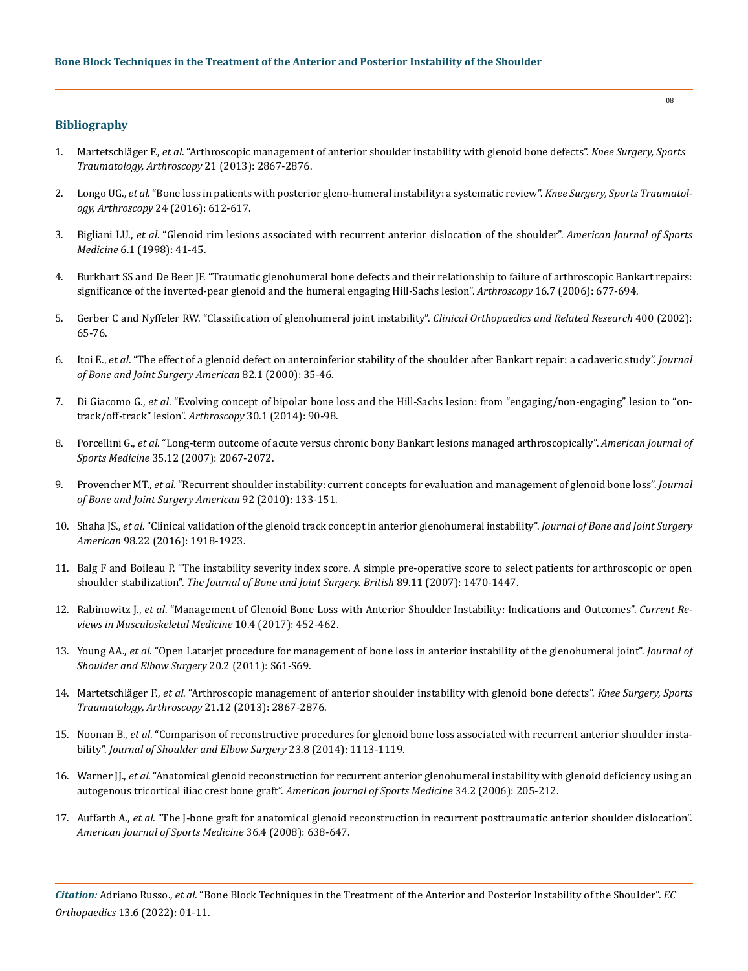# **Bibliography**

- 1. Martetschläger F., *et al*[. "Arthroscopic management of anterior shoulder instability with glenoid bone defects".](https://pubmed.ncbi.nlm.nih.gov/22976501/) *Knee Surgery, Sports [Traumatology, Arthroscopy](https://pubmed.ncbi.nlm.nih.gov/22976501/)* 21 (2013): 2867-2876.
- 2. Longo UG., *et al*[. "Bone loss in patients with posterior gleno-humeral instability: a systematic review".](https://pubmed.ncbi.nlm.nih.gov/25051908/) *Knee Surgery, Sports Traumatology, Arthroscopy* [24 \(2016\): 612-617.](https://pubmed.ncbi.nlm.nih.gov/25051908/)
- 3. Bigliani LU., *et al*[. "Glenoid rim lesions associated with recurrent anterior dislocation of the shoulder".](http://citeseerx.ist.psu.edu/viewdoc/download?doi=10.1.1.909.9614&rep=rep1&type=pdf) *American Journal of Sports Medicine* [6.1 \(1998\): 41-45.](http://citeseerx.ist.psu.edu/viewdoc/download?doi=10.1.1.909.9614&rep=rep1&type=pdf)
- 4. [Burkhart SS and De Beer JF. "Traumatic glenohumeral bone defects and their relationship to failure of arthroscopic Bankart repairs:](https://pubmed.ncbi.nlm.nih.gov/11027751/)  [significance of the inverted-pear glenoid and the humeral engaging Hill-Sachs lesion".](https://pubmed.ncbi.nlm.nih.gov/11027751/) *Arthroscopy* 16.7 (2006): 677-694.
- 5. [Gerber C and Nyffeler RW. "Classification of glenohumeral joint instability".](https://journals.lww.com/clinorthop/fulltext/2002/07000/classification_of_glenohumeral_joint_instability.9.aspx) *Clinical Orthopaedics and Related Research* 400 (2002): [65-76.](https://journals.lww.com/clinorthop/fulltext/2002/07000/classification_of_glenohumeral_joint_instability.9.aspx)
- 6. Itoi E., *et al*[. "The effect of a glenoid defect on anteroinferior stability of the shoulder after Bankart repair: a cadaveric study".](https://pubmed.ncbi.nlm.nih.gov/10653082/) *Journal [of Bone and Joint Surgery American](https://pubmed.ncbi.nlm.nih.gov/10653082/)* 82.1 (2000): 35-46.
- 7. Di Giacomo G., *et al*[. "Evolving concept of bipolar bone loss and the Hill-Sachs lesion: from "engaging/non-engaging" lesion to "on](https://pubmed.ncbi.nlm.nih.gov/24384275/)[track/off-track" lesion".](https://pubmed.ncbi.nlm.nih.gov/24384275/) *Arthroscopy* 30.1 (2014): 90-98.
- 8. Porcellini G., *et al*[. "Long-term outcome of acute versus chronic bony Bankart lesions managed arthroscopically".](https://pubmed.ncbi.nlm.nih.gov/17978001/) *American Journal of Sports Medicine* [35.12 \(2007\): 2067-2072.](https://pubmed.ncbi.nlm.nih.gov/17978001/)
- 9. Provencher MT., *et al*[. "Recurrent shoulder instability: current concepts for evaluation and management of glenoid bone loss".](https://pubmed.ncbi.nlm.nih.gov/21123597/) *Journal [of Bone and Joint Surgery American](https://pubmed.ncbi.nlm.nih.gov/21123597/)* 92 (2010): 133-151.
- 10. Shaha JS., *et al*[. "Clinical validation of the glenoid track concept in anterior glenohumeral instability".](https://pubmed.ncbi.nlm.nih.gov/27852909/) *Journal of Bone and Joint Surgery American* [98.22 \(2016\): 1918-1923.](https://pubmed.ncbi.nlm.nih.gov/27852909/)
- 11. [Balg F and Boileau P. "The instability severity index score. A simple pre-operative score to select patients for arthroscopic or open](https://pubmed.ncbi.nlm.nih.gov/17998184/)  shoulder stabilization". *[The Journal of Bone and Joint Surgery. British](https://pubmed.ncbi.nlm.nih.gov/17998184/)* 89.11 (2007): 1470-1447.
- 12. Rabinowitz J., *et al*[. "Management of Glenoid Bone Loss with Anterior Shoulder Instability: Indications and Outcomes".](https://pubmed.ncbi.nlm.nih.gov/28994027/) *Current Re[views in Musculoskeletal Medicine](https://pubmed.ncbi.nlm.nih.gov/28994027/)* 10.4 (2017): 452-462.
- 13. Young AA., *et al*[. "Open Latarjet procedure for management of bone loss in anterior instability of the glenohumeral joint".](https://pubmed.ncbi.nlm.nih.gov/21145262/) *Journal of [Shoulder and Elbow Surgery](https://pubmed.ncbi.nlm.nih.gov/21145262/)* 20.2 (2011): S61-S69.
- 14. Martetschläger F., *et al*[. "Arthroscopic management of anterior shoulder instability with glenoid bone defects".](https://pubmed.ncbi.nlm.nih.gov/22976501/) *Knee Surgery, Sports [Traumatology, Arthroscopy](https://pubmed.ncbi.nlm.nih.gov/22976501/)* 21.12 (2013): 2867-2876.
- 15. Noonan B., *et al*[. "Comparison of reconstructive procedures for glenoid bone loss associated with recurrent anterior shoulder insta](https://pubmed.ncbi.nlm.nih.gov/24561175/)bility". *[Journal of Shoulder and Elbow Surgery](https://pubmed.ncbi.nlm.nih.gov/24561175/)* 23.8 (2014): 1113-1119.
- 16. Warner JJ., *et al*[. "Anatomical glenoid reconstruction for recurrent anterior glenohumeral instability with glenoid deficiency using an](https://pubmed.ncbi.nlm.nih.gov/16303879/)  [autogenous tricortical iliac crest bone graft".](https://pubmed.ncbi.nlm.nih.gov/16303879/) *American Journal of Sports Medicine* 34.2 (2006): 205-212.
- 17. Auffarth A., *et al*[. "The J-bone graft for anatomical glenoid reconstruction in recurrent posttraumatic anterior shoulder dislocation".](https://pubmed.ncbi.nlm.nih.gov/18006673/)  *[American Journal of Sports Medicine](https://pubmed.ncbi.nlm.nih.gov/18006673/)* 36.4 (2008): 638-647.

*Citation:* Adriano Russo., *et al*. "Bone Block Techniques in the Treatment of the Anterior and Posterior Instability of the Shoulder". *EC Orthopaedics* 13.6 (2022): 01-11.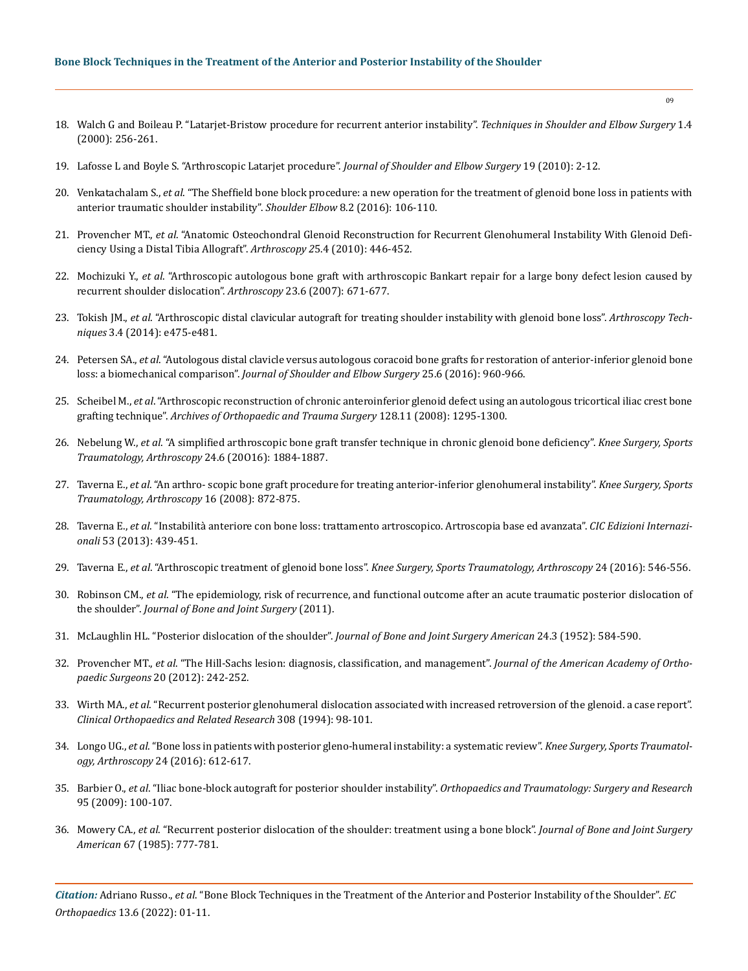# **Bone Block Techniques in the Treatment of the Anterior and Posterior Instability of the Shoulder**

- 18. [Walch G and Boileau P. "Latarjet-Bristow procedure for recurrent anterior instability".](https://journals.lww.com/shoulderelbowsurgery/Citation/2000/01040/Latarjet_Bristow_Procedure_for_Recurrent_Anterior.8.aspx) *Techniques in Shoulder and Elbow Surgery* 1.4 [\(2000\): 256-261.](https://journals.lww.com/shoulderelbowsurgery/Citation/2000/01040/Latarjet_Bristow_Procedure_for_Recurrent_Anterior.8.aspx)
- 19. [Lafosse L and Boyle S. "Arthroscopic Latarjet procedure".](https://pubmed.ncbi.nlm.nih.gov/20497814/) *Journal of Shoulder and Elbow Surgery* 19 (2010): 2-12.
- 20. Venkatachalam S., *et al*[. "The Sheffield bone block procedure: a new operation for the treatment of glenoid bone loss in patients with](https://pubmed.ncbi.nlm.nih.gov/27583007/)  [anterior traumatic shoulder instability".](https://pubmed.ncbi.nlm.nih.gov/27583007/) *Shoulder Elbow* 8.2 (2016): 106-110.
- 21. Provencher MT., *et al*[. "Anatomic Osteochondral Glenoid Reconstruction for Recurrent Glenohumeral Instability With Glenoid Defi](https://pubmed.ncbi.nlm.nih.gov/19341934/)[ciency Using a Distal Tibia Allograft".](https://pubmed.ncbi.nlm.nih.gov/19341934/) *Arthroscopy 2*5.4 (2010): 446-452.
- 22. Mochizuki Y., *et al*[. "Arthroscopic autologous bone graft with arthroscopic Bankart repair for a large bony defect lesion caused by](https://pubmed.ncbi.nlm.nih.gov/17560487/)  [recurrent shoulder dislocation".](https://pubmed.ncbi.nlm.nih.gov/17560487/) *Arthroscopy* 23.6 (2007): 671-677.
- 23. Tokish JM., *et al*[. "Arthroscopic distal clavicular autograft for treating shoulder instability with glenoid bone loss".](https://pubmed.ncbi.nlm.nih.gov/25264509/) *Arthroscopy Techniques* [3.4 \(2014\): e475-e481.](https://pubmed.ncbi.nlm.nih.gov/25264509/)
- 24. Petersen SA., *et al*[. "Autologous distal clavicle versus autologous coracoid bone grafts for restoration of anterior-inferior glenoid bone](https://pubmed.ncbi.nlm.nih.gov/26803929/)  loss: a biomechanical comparison". *[Journal of Shoulder and Elbow Surgery](https://pubmed.ncbi.nlm.nih.gov/26803929/)* 25.6 (2016): 960-966.
- 25. Scheibel M., *et al*[. "Arthroscopic reconstruction of chronic anteroinferior glenoid defect using an autologous tricortical iliac crest bone](https://pubmed.ncbi.nlm.nih.gov/18034253/)  grafting technique". *[Archives of Orthopaedic and Trauma Surgery](https://pubmed.ncbi.nlm.nih.gov/18034253/)* 128.11 (2008): 1295-1300.
- 26. Nebelung W., *et al*[. "A simplified arthroscopic bone graft transfer technique in chronic glenoid bone deficiency".](https://pubmed.ncbi.nlm.nih.gov/24803016/) *Knee Surgery, Sports [Traumatology, Arthroscopy](https://pubmed.ncbi.nlm.nih.gov/24803016/)* 24.6 (20O16): 1884-1887.
- 27. Taverna E., *et al*[. "An arthro- scopic bone graft procedure for treating anterior-inferior glenohumeral instability".](https://www.ncbi.nlm.nih.gov/pmc/articles/PMC4314560/) *Knee Surgery, Sports [Traumatology, Arthroscopy](https://www.ncbi.nlm.nih.gov/pmc/articles/PMC4314560/)* 16 (2008): 872-875.
- 28. Taverna E., *et al*[. "Instabilità anteriore con bone loss: trattamento artroscopico. Artroscopia base ed avanzata".](https://ebin.pub/artroscopia-base-ed-avanzata-8871419405-9788871419404.html) *CIC Edizioni Internazionali* [53 \(2013\): 439-451.](https://ebin.pub/artroscopia-base-ed-avanzata-8871419405-9788871419404.html)
- 29. Taverna E., *et al*. "Arthroscopic treatment of glenoid bone loss". *[Knee Surgery, Sports Traumatology, Arthroscopy](https://pubmed.ncbi.nlm.nih.gov/26658567/)* 24 (2016): 546-556.
- 30. Robinson CM., *et al*[. "The epidemiology, risk of recurrence, and functional outcome after an acute traumatic posterior dislocation of](https://pubmed.ncbi.nlm.nih.gov/21915575/)  the shoulder". *[Journal of Bone and Joint Surgery](https://pubmed.ncbi.nlm.nih.gov/21915575/)* (2011).
- 31. [McLaughlin HL. "Posterior dislocation of the shoulder".](https://pubmed.ncbi.nlm.nih.gov/14946209/) *Journal of Bone and Joint Surgery American* 24.3 (1952): 584-590.
- 32. Provencher MT., *et al*[. "The Hill-Sachs lesion: diagnosis, classification, and management".](https://pubmed.ncbi.nlm.nih.gov/22474094/) *Journal of the American Academy of Orthopaedic Surgeons* [20 \(2012\): 242-252.](https://pubmed.ncbi.nlm.nih.gov/22474094/)
- 33. Wirth MA., *et al*[. "Recurrent posterior glenohumeral dislocation associated with increased retroversion of the glenoid. a case report".](https://pubmed.ncbi.nlm.nih.gov/7955709/)  *[Clinical Orthopaedics and Related Research](https://pubmed.ncbi.nlm.nih.gov/7955709/)* 308 (1994): 98-101.
- 34. Longo UG., *et al*[. "Bone loss in patients with posterior gleno-humeral instability: a systematic review".](https://pubmed.ncbi.nlm.nih.gov/25051908/) *Knee Surgery, Sports Traumatology, Arthroscopy* [24 \(2016\): 612-617.](https://pubmed.ncbi.nlm.nih.gov/25051908/)
- 35. Barbier O., *et al*. "Iliac bone-block autograft for posterior shoulder instability". *[Orthopaedics and Traumatology: Surgery and Research](https://www.sciencedirect.com/science/article/pii/S1877056809000164)* [95 \(2009\): 100-107.](https://www.sciencedirect.com/science/article/pii/S1877056809000164)
- 36. Mowery CA., *et al*[. "Recurrent posterior dislocation of the shoulder: treatment using a bone block".](https://pubmed.ncbi.nlm.nih.gov/17370061/) *Journal of Bone and Joint Surgery American* [67 \(1985\): 777-781.](https://pubmed.ncbi.nlm.nih.gov/17370061/)

*Citation:* Adriano Russo., *et al*. "Bone Block Techniques in the Treatment of the Anterior and Posterior Instability of the Shoulder". *EC Orthopaedics* 13.6 (2022): 01-11.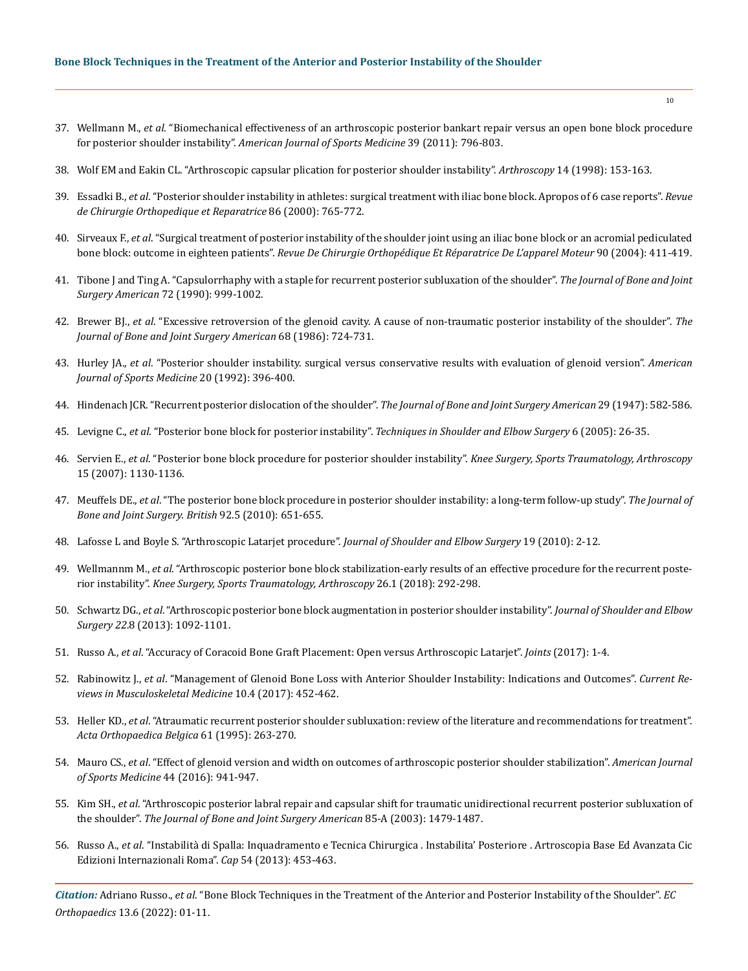- 37. Wellmann M., *et al*[. "Biomechanical effectiveness of an arthroscopic posterior bankart repair versus an open bone block procedure](https://pubmed.ncbi.nlm.nih.gov/21131680/)  for posterior shoulder instability". *[American Journal of Sports Medicine](https://pubmed.ncbi.nlm.nih.gov/21131680/)* 39 (2011): 796-803.
- 38. [Wolf EM and Eakin CL. "Arthroscopic capsular plication for posterior shoulder instability".](https://pubmed.ncbi.nlm.nih.gov/9531126/) *Arthroscopy* 14 (1998): 153-163.
- 39. Essadki B., *et al*[. "Posterior shoulder instability in athletes: surgical treatment with iliac bone block. Apropos of 6 case reports".](https://pubmed.ncbi.nlm.nih.gov/11148413/) *Revue [de Chirurgie Orthopedique et Reparatrice](https://pubmed.ncbi.nlm.nih.gov/11148413/)* 86 (2000): 765-772.
- 40. Sirveaux F., *et al*[. "Surgical treatment of posterior instability of the shoulder joint using an iliac bone block or an acromial pediculated](https://pubmed.ncbi.nlm.nih.gov/15502763/)  bone block: outcome in eighteen patients". *[Revue De Chirurgie Orthopédique Et Réparatrice De L'apparel Moteur](https://pubmed.ncbi.nlm.nih.gov/15502763/)* 90 (2004): 411-419.
- 41. [Tibone J and Ting A. "Capsulorrhaphy with a staple for recurrent posterior subluxation of the shoulder".](https://pubmed.ncbi.nlm.nih.gov/2131791/) *The Journal of Bone and Joint Surgery American* [72 \(1990\): 999-1002.](https://pubmed.ncbi.nlm.nih.gov/2131791/)
- 42. Brewer BJ., *et al*[. "Excessive retroversion of the glenoid cavity. A cause of non-traumatic posterior instability of the shoulder".](https://pubmed.ncbi.nlm.nih.gov/3722229/) *The [Journal of Bone and Joint Surgery American](https://pubmed.ncbi.nlm.nih.gov/3722229/)* 68 (1986): 724-731.
- 43. Hurley JA., *et al*[. "Posterior shoulder instability. surgical versus conservative results with evaluation of glenoid version".](https://pubmed.ncbi.nlm.nih.gov/1415880/) *American [Journal of Sports Medicine](https://pubmed.ncbi.nlm.nih.gov/1415880/)* 20 (1992): 396-400.
- 44. [Hindenach JCR. "Recurrent posterior dislocation of the shoulder".](https://online.boneandjoint.org.uk/doi/pdf/10.1302/0301-620X.40B2.203) *The Journal of Bone and Joint Surgery American* 29 (1947): 582-586.
- 45. Levigne C., *et al*. "Posterior bone block for posterior instability". *[Techniques in Shoulder and Elbow Surgery](https://pubmed.ncbi.nlm.nih.gov/17370061/)* 6 (2005): 26-35.
- 46. Servien E., *et al*[. "Posterior bone block procedure for posterior shoulder instability".](https://pubmed.ncbi.nlm.nih.gov/20436001/) *Knee Surgery, Sports Traumatology, Arthroscopy* [15 \(2007\): 1130-1136.](https://pubmed.ncbi.nlm.nih.gov/20436001/)
- 47. Meuffels DE., *et al*[. "The posterior bone block procedure in posterior shoulder instability: a long-term follow-up study".](https://pubmed.ncbi.nlm.nih.gov/20436001/) *The Journal of [Bone and Joint Surgery. British](https://pubmed.ncbi.nlm.nih.gov/20436001/)* 92.5 (2010): 651-655.
- 48. [Lafosse L and Boyle S. "Arthroscopic Latarjet procedure".](https://pubmed.ncbi.nlm.nih.gov/20188263/) *Journal of Shoulder and Elbow Surgery* 19 (2010): 2-12.
- 49. Wellmannm M., *et al*[. "Arthroscopic posterior bone block stabilization-early results of an effective procedure for the recurrent poste](https://pubmed.ncbi.nlm.nih.gov/29085981/)rior instability". *[Knee Surgery, Sports Traumatology, Arthroscopy](https://pubmed.ncbi.nlm.nih.gov/29085981/)* 26.1 (2018): 292-298.
- 50. Schwartz DG., *et al*[. "Arthroscopic posterior bone block augmentation in posterior shoulder instability".](https://pubmed.ncbi.nlm.nih.gov/23337111/) *Journal of Shoulder and Elbow Surgery 22*[.8 \(2013\): 1092-1101.](https://pubmed.ncbi.nlm.nih.gov/23337111/)
- 51. Russo A., *et al*[. "Accuracy of Coracoid Bone Graft Placement: Open versus Arthroscopic Latarjet".](https://www.ncbi.nlm.nih.gov/pmc/articles/PMC5672875/) *Joints* (2017): 1-4.
- 52. Rabinowitz J., *et al*[. "Management of Glenoid Bone Loss with Anterior Shoulder Instability: Indications and Outcomes".](https://pubmed.ncbi.nlm.nih.gov/28994027/) *Current Re[views in Musculoskeletal Medicine](https://pubmed.ncbi.nlm.nih.gov/28994027/)* 10.4 (2017): 452-462.
- 53. Heller KD., *et al*[. "Atraumatic recurrent posterior shoulder subluxation: review of the literature and recommendations for treatment".](https://pubmed.ncbi.nlm.nih.gov/8571759/)  *[Acta Orthopaedica Belgica](https://pubmed.ncbi.nlm.nih.gov/8571759/)* 61 (1995): 263-270.
- 54. Mauro CS., *et al*[. "Effect of glenoid version and width on outcomes of arthroscopic posterior shoulder stabilization".](https://pubmed.ncbi.nlm.nih.gov/26944574/) *American Journal [of Sports Medicine](https://pubmed.ncbi.nlm.nih.gov/26944574/)* 44 (2016): 941-947.
- 55. Kim SH., *et al*[. "Arthroscopic posterior labral repair and capsular shift for traumatic unidirectional recurrent posterior subluxation of](https://pubmed.ncbi.nlm.nih.gov/12925627/)  the shoulder". *[The Journal of Bone and Joint Surgery American](https://pubmed.ncbi.nlm.nih.gov/12925627/)* 85-A (2003): 1479-1487.
- 56. Russo A., *et al*[. "Instabilità di Spalla: Inquadramento e Tecnica Chirurgica . Instabilita' Posteriore . Artroscopia Base Ed Avanzata Cic](https://www.academia.edu/26430996/Instabilita_di_Spalla_Inquadramento_e_tecnica_chirurgica_Instabilita_posteriore_Adriano_Russo_Francesco_Raffelini_Paolo_Pardini_Filippo_Poccianti_Haidar_Hassan_Khodor)  [Edizioni Internazionali Roma".](https://www.academia.edu/26430996/Instabilita_di_Spalla_Inquadramento_e_tecnica_chirurgica_Instabilita_posteriore_Adriano_Russo_Francesco_Raffelini_Paolo_Pardini_Filippo_Poccianti_Haidar_Hassan_Khodor) *Cap* 54 (2013): 453-463.

*Citation:* Adriano Russo., *et al*. "Bone Block Techniques in the Treatment of the Anterior and Posterior Instability of the Shoulder". *EC Orthopaedics* 13.6 (2022): 01-11.